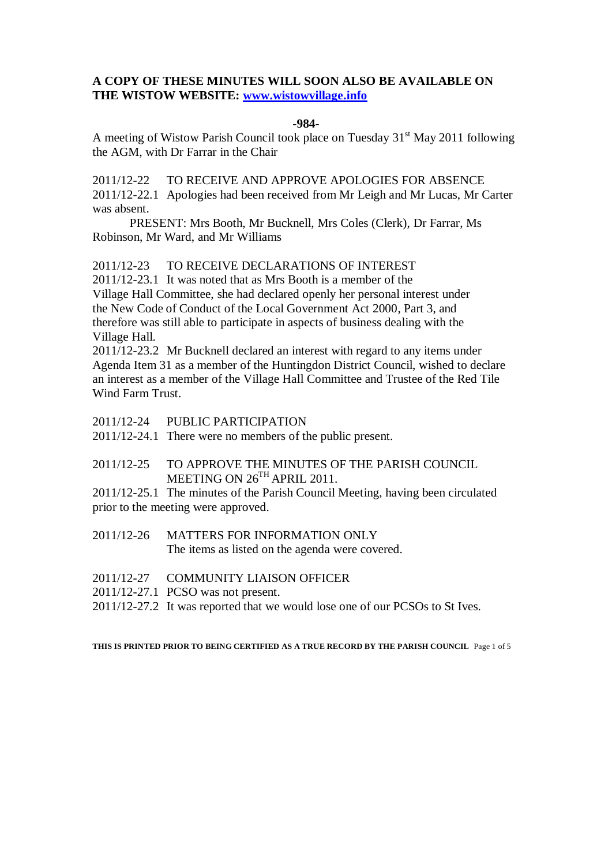# **A COPY OF THESE MINUTES WILL SOON ALSO BE AVAILABLE ON THE WISTOW WEBSITE: [www.wistowvillage.info](http://www.wistowvillage.info/)**

#### **-984-**

A meeting of Wistow Parish Council took place on Tuesday  $31<sup>st</sup>$  May 2011 following the AGM, with Dr Farrar in the Chair

2011/12-22 TO RECEIVE AND APPROVE APOLOGIES FOR ABSENCE 2011/12-22.1 Apologies had been received from Mr Leigh and Mr Lucas, Mr Carter was absent.

PRESENT: Mrs Booth, Mr Bucknell, Mrs Coles (Clerk), Dr Farrar, Ms Robinson, Mr Ward, and Mr Williams

2011/12-23 TO RECEIVE DECLARATIONS OF INTEREST

2011/12-23.1 It was noted that as Mrs Booth is a member of the Village Hall Committee, she had declared openly her personal interest under the New Code of Conduct of the Local Government Act 2000, Part 3, and therefore was still able to participate in aspects of business dealing with the Village Hall.

2011/12-23.2 Mr Bucknell declared an interest with regard to any items under Agenda Item 31 as a member of the Huntingdon District Council, wished to declare an interest as a member of the Village Hall Committee and Trustee of the Red Tile Wind Farm Trust.

- 2011/12-24 PUBLIC PARTICIPATION
- 2011/12-24.1 There were no members of the public present.
- 2011/12-25 TO APPROVE THE MINUTES OF THE PARISH COUNCIL MEETING ON  $26^{TH}$  APRIL 2011.

2011/12-25.1 The minutes of the Parish Council Meeting, having been circulated prior to the meeting were approved.

- 2011/12-26 MATTERS FOR INFORMATION ONLY The items as listed on the agenda were covered.
- 2011/12-27 COMMUNITY LIAISON OFFICER
- 2011/12-27.1 PCSO was not present.
- 2011/12-27.2 It was reported that we would lose one of our PCSOs to St Ives.

**THIS IS PRINTED PRIOR TO BEING CERTIFIED AS A TRUE RECORD BY THE PARISH COUNCIL** Page 1 of 5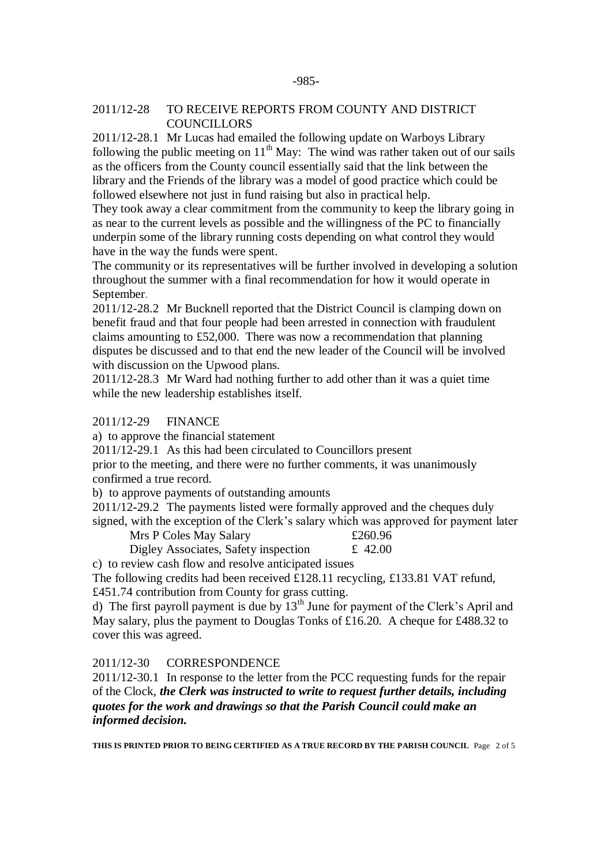## 2011/12-28 TO RECEIVE REPORTS FROM COUNTY AND DISTRICT **COUNCILLORS**

2011/12-28.1 Mr Lucas had emailed the following update on Warboys Library following the public meeting on  $11<sup>th</sup>$  May: The wind was rather taken out of our sails as the officers from the County council essentially said that the link between the library and the Friends of the library was a model of good practice which could be followed elsewhere not just in fund raising but also in practical help.

They took away a clear commitment from the community to keep the library going in as near to the current levels as possible and the willingness of the PC to financially underpin some of the library running costs depending on what control they would have in the way the funds were spent.

The community or its representatives will be further involved in developing a solution throughout the summer with a final recommendation for how it would operate in September.

2011/12-28.2 Mr Bucknell reported that the District Council is clamping down on benefit fraud and that four people had been arrested in connection with fraudulent claims amounting to £52,000. There was now a recommendation that planning disputes be discussed and to that end the new leader of the Council will be involved with discussion on the Upwood plans.

2011/12-28.3 Mr Ward had nothing further to add other than it was a quiet time while the new leadership establishes itself.

## 2011/12-29 FINANCE

a) to approve the financial statement

2011/12-29.1 As this had been circulated to Councillors present

prior to the meeting, and there were no further comments, it was unanimously confirmed a true record.

b) to approve payments of outstanding amounts

2011/12-29.2 The payments listed were formally approved and the cheques duly signed, with the exception of the Clerk's salary which was approved for payment later

Mrs P Coles May Salary  $£260.96$ 

Digley Associates, Safety inspection  $\pm$  42.00

c) to review cash flow and resolve anticipated issues

The following credits had been received £128.11 recycling, £133.81 VAT refund, £451.74 contribution from County for grass cutting.

d) The first payroll payment is due by  $13<sup>th</sup>$  June for payment of the Clerk's April and May salary, plus the payment to Douglas Tonks of £16.20. A cheque for £488.32 to cover this was agreed.

## 2011/12-30 CORRESPONDENCE

2011/12-30.1 In response to the letter from the PCC requesting funds for the repair of the Clock, *the Clerk was instructed to write to request further details, including quotes for the work and drawings so that the Parish Council could make an informed decision.*

**THIS IS PRINTED PRIOR TO BEING CERTIFIED AS A TRUE RECORD BY THE PARISH COUNCIL** Page 2 of 5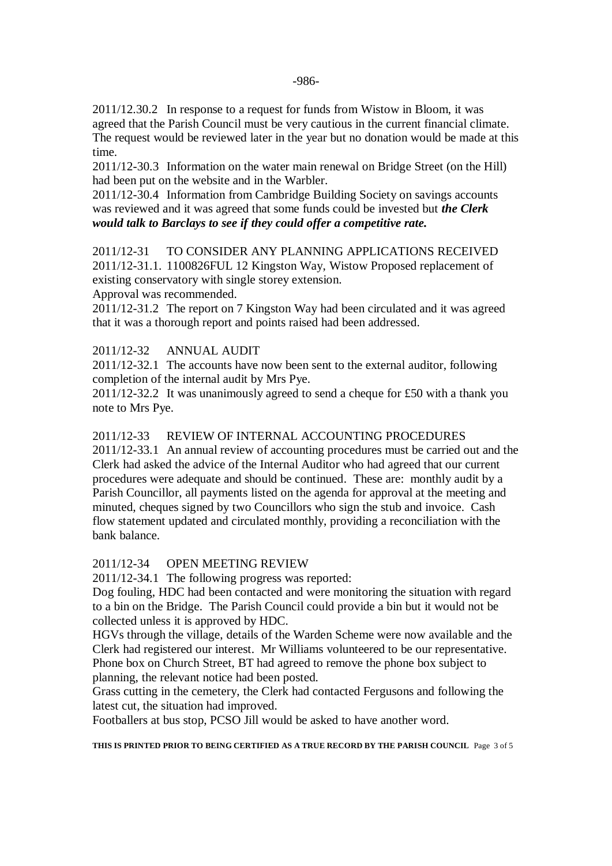2011/12.30.2 In response to a request for funds from Wistow in Bloom, it was agreed that the Parish Council must be very cautious in the current financial climate. The request would be reviewed later in the year but no donation would be made at this time.

2011/12-30.3 Information on the water main renewal on Bridge Street (on the Hill) had been put on the website and in the Warbler.

2011/12-30.4 Information from Cambridge Building Society on savings accounts was reviewed and it was agreed that some funds could be invested but *the Clerk would talk to Barclays to see if they could offer a competitive rate.*

2011/12-31 TO CONSIDER ANY PLANNING APPLICATIONS RECEIVED 2011/12-31.1. 1100826FUL 12 Kingston Way, Wistow Proposed replacement of existing conservatory with single storey extension.

Approval was recommended.

2011/12-31.2 The report on 7 Kingston Way had been circulated and it was agreed that it was a thorough report and points raised had been addressed.

## 2011/12-32 ANNUAL AUDIT

2011/12-32.1 The accounts have now been sent to the external auditor, following completion of the internal audit by Mrs Pye.

2011/12-32.2 It was unanimously agreed to send a cheque for £50 with a thank you note to Mrs Pye.

#### 2011/12-33 REVIEW OF INTERNAL ACCOUNTING PROCEDURES

2011/12-33.1 An annual review of accounting procedures must be carried out and the Clerk had asked the advice of the Internal Auditor who had agreed that our current procedures were adequate and should be continued. These are: monthly audit by a Parish Councillor, all payments listed on the agenda for approval at the meeting and minuted, cheques signed by two Councillors who sign the stub and invoice. Cash flow statement updated and circulated monthly, providing a reconciliation with the bank balance.

#### 2011/12-34 OPEN MEETING REVIEW

2011/12-34.1 The following progress was reported:

Dog fouling, HDC had been contacted and were monitoring the situation with regard to a bin on the Bridge. The Parish Council could provide a bin but it would not be collected unless it is approved by HDC.

HGVs through the village, details of the Warden Scheme were now available and the Clerk had registered our interest. Mr Williams volunteered to be our representative. Phone box on Church Street, BT had agreed to remove the phone box subject to planning, the relevant notice had been posted.

Grass cutting in the cemetery, the Clerk had contacted Fergusons and following the latest cut, the situation had improved.

Footballers at bus stop, PCSO Jill would be asked to have another word.

**THIS IS PRINTED PRIOR TO BEING CERTIFIED AS A TRUE RECORD BY THE PARISH COUNCIL** Page 3 of 5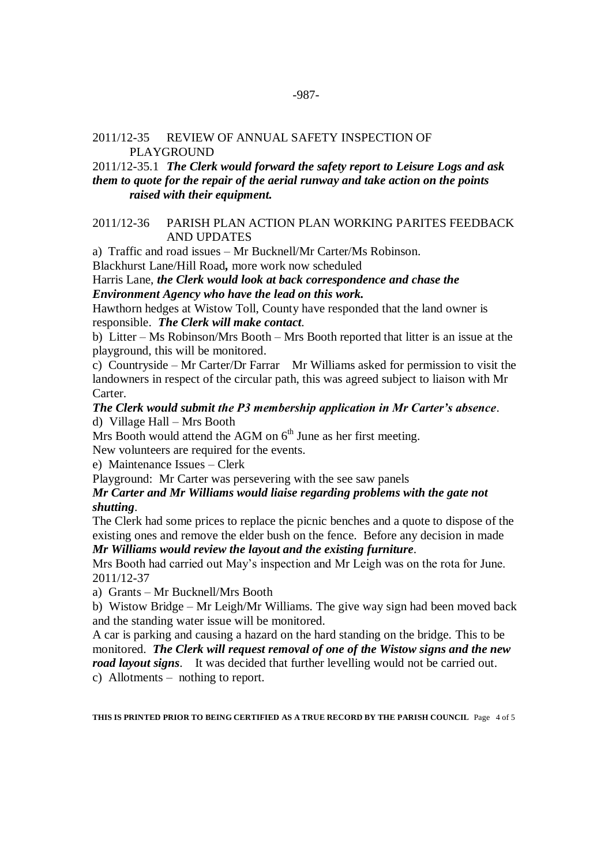## 2011/12-35 REVIEW OF ANNUAL SAFETY INSPECTION OF **PLAYGROUND**

# 2011/12-35.1 *The Clerk would forward the safety report to Leisure Logs and ask them to quote for the repair of the aerial runway and take action on the points raised with their equipment.*

# 2011/12-36 PARISH PLAN ACTION PLAN WORKING PARITES FEEDBACK AND UPDATES

a) Traffic and road issues – Mr Bucknell/Mr Carter/Ms Robinson.

Blackhurst Lane/Hill Road*,* more work now scheduled

Harris Lane, *the Clerk would look at back correspondence and chase the Environment Agency who have the lead on this work.*

Hawthorn hedges at Wistow Toll, County have responded that the land owner is responsible. *The Clerk will make contact*.

b) Litter – Ms Robinson/Mrs Booth – Mrs Booth reported that litter is an issue at the playground, this will be monitored.

c) Countryside – Mr Carter/Dr Farrar Mr Williams asked for permission to visit the landowners in respect of the circular path, this was agreed subject to liaison with Mr Carter.

### *The Clerk would submit the P3 membership application in Mr Carter's absence*.

d) Village Hall – Mrs Booth

Mrs Booth would attend the AGM on  $6<sup>th</sup>$  June as her first meeting.

New volunteers are required for the events.

e) Maintenance Issues – Clerk

Playground: Mr Carter was persevering with the see saw panels

## *Mr Carter and Mr Williams would liaise regarding problems with the gate not shutting*.

The Clerk had some prices to replace the picnic benches and a quote to dispose of the existing ones and remove the elder bush on the fence. Before any decision in made

*Mr Williams would review the layout and the existing furniture*.

Mrs Booth had carried out May's inspection and Mr Leigh was on the rota for June. 2011/12-37

a) Grants – Mr Bucknell/Mrs Booth

b) Wistow Bridge – Mr Leigh/Mr Williams. The give way sign had been moved back and the standing water issue will be monitored.

A car is parking and causing a hazard on the hard standing on the bridge. This to be monitored. *The Clerk will request removal of one of the Wistow signs and the new road layout signs*. It was decided that further levelling would not be carried out. c) Allotments – nothing to report.

**THIS IS PRINTED PRIOR TO BEING CERTIFIED AS A TRUE RECORD BY THE PARISH COUNCIL** Page 4 of 5